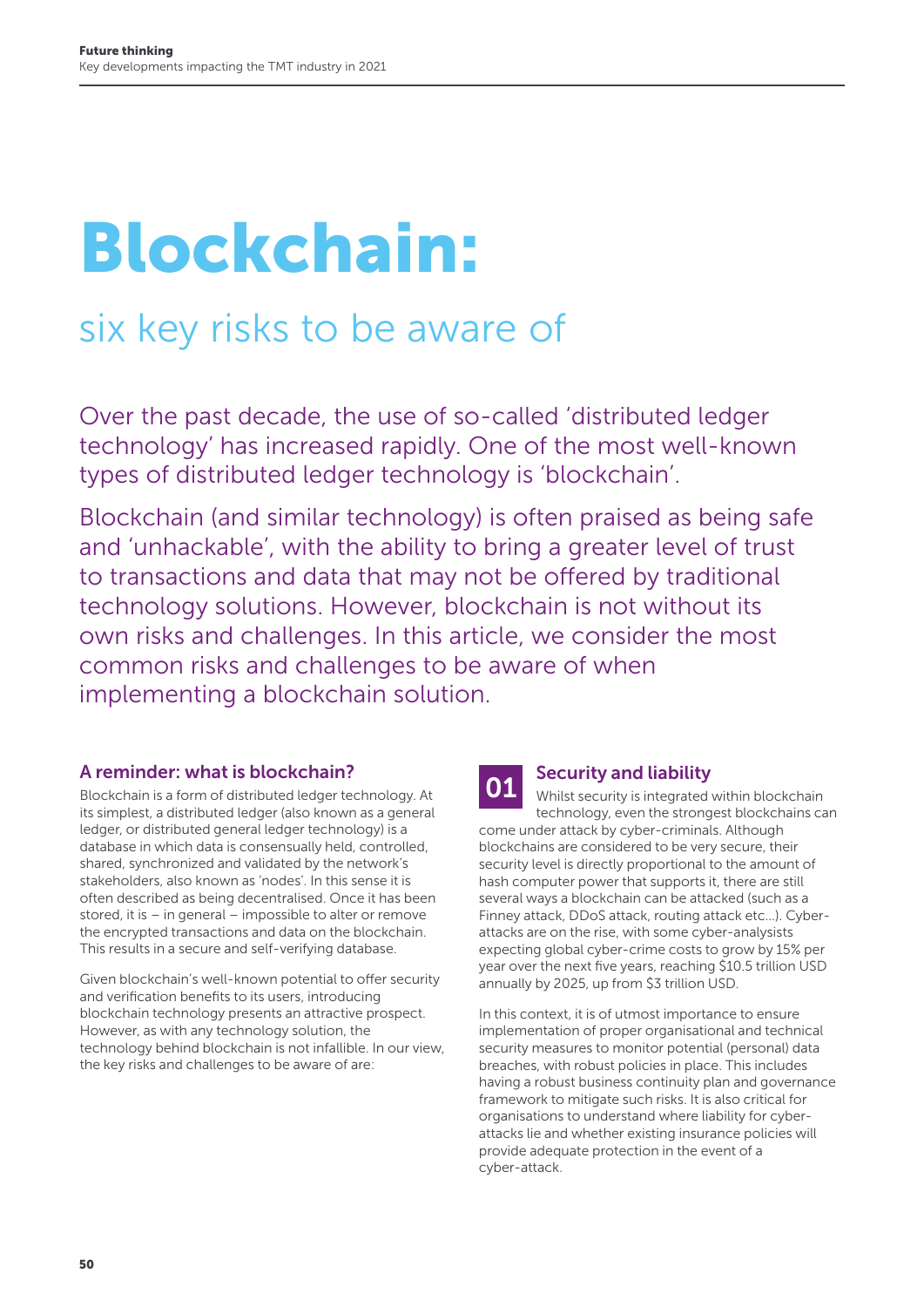# Blockchain:

# six key risks to be aware of

Over the past decade, the use of so-called 'distributed ledger technology' has increased rapidly. One of the most well-known types of distributed ledger technology is 'blockchain'.

Blockchain (and similar technology) is often praised as being safe and 'unhackable', with the ability to bring a greater level of trust to transactions and data that may not be offered by traditional technology solutions. However, blockchain is not without its own risks and challenges. In this article, we consider the most common risks and challenges to be aware of when implementing a blockchain solution.

#### A reminder: what is blockchain?

Blockchain is a form of distributed ledger technology. At its simplest, a distributed ledger (also known as a general ledger, or distributed general ledger technology) is a database in which data is consensually held, controlled, shared, synchronized and validated by the network's stakeholders, also known as 'nodes'. In this sense it is often described as being decentralised. Once it has been stored, it is – in general – impossible to alter or remove the encrypted transactions and data on the blockchain. This results in a secure and self-verifying database.

Given blockchain's well-known potential to offer security and verification benefits to its users, introducing blockchain technology presents an attractive prospect. However, as with any technology solution, the technology behind blockchain is not infallible. In our view, the key risks and challenges to be aware of are:

# **01** Security and liability

Whilst security is integrated within blockchain technology, even the strongest blockchains can come under attack by cyber-criminals. Although blockchains are considered to be very secure, their security level is directly proportional to the amount of hash computer power that supports it, there are still several ways a blockchain can be attacked (such as a Finney attack, DDoS attack, routing attack etc…). Cyberattacks are on the rise, with some cyber-analysists expecting global cyber-crime costs to grow by 15% per year over the next five years, reaching \$10.5 trillion USD annually by 2025, up from \$3 trillion USD.

In this context, it is of utmost importance to ensure implementation of proper organisational and technical security measures to monitor potential (personal) data breaches, with robust policies in place. This includes having a robust business continuity plan and governance framework to mitigate such risks. It is also critical for organisations to understand where liability for cyberattacks lie and whether existing insurance policies will provide adequate protection in the event of a cyber-attack.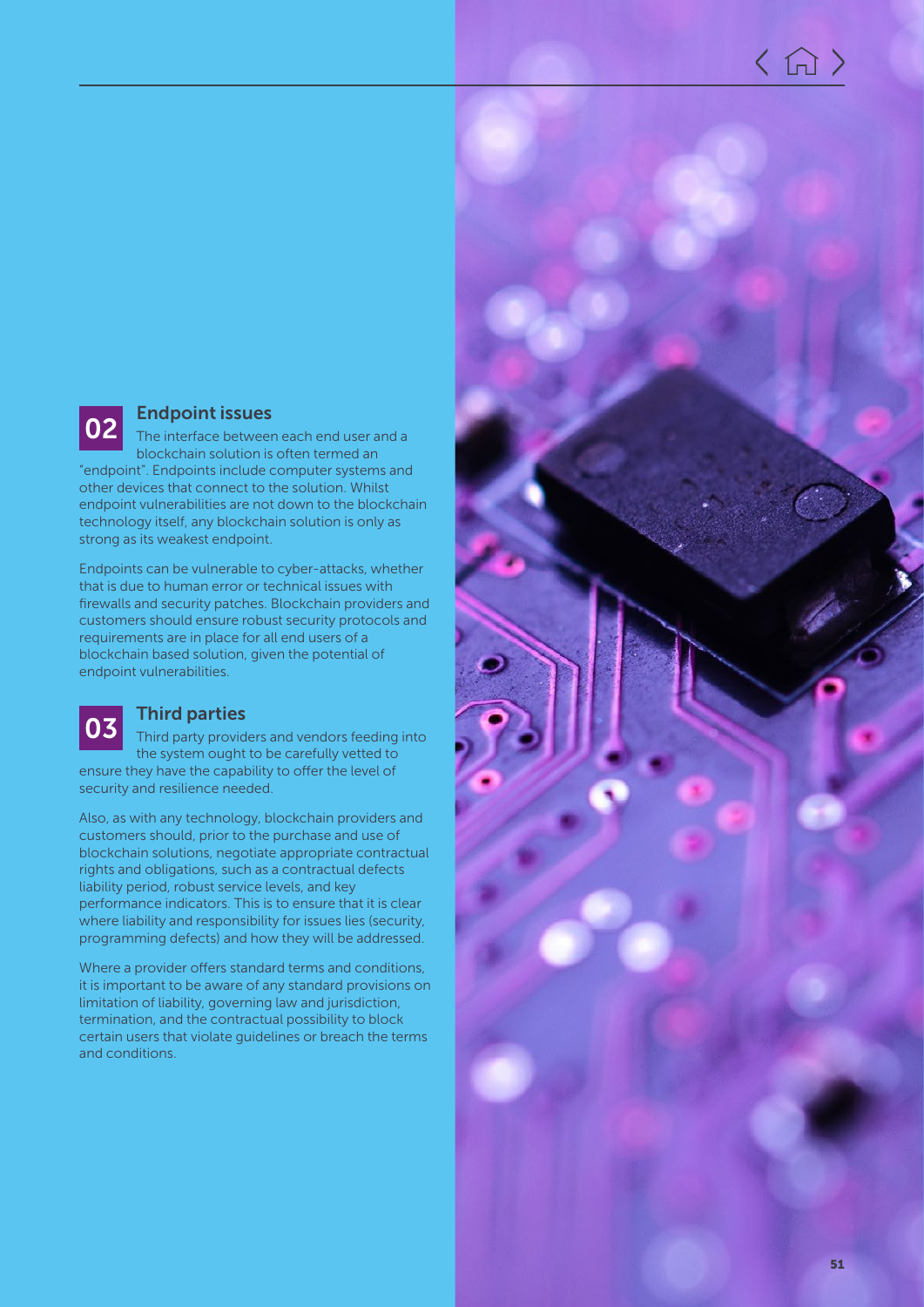

## **02** Endpoint issues

The interface between each end user and a blockchain solution is often termed an "endpoint". Endpoints include computer systems and

other devices that connect to the solution. Whilst endpoint vulnerabilities are not down to the blockchain technology itself, any blockchain solution is only as strong as its weakest endpoint.

Endpoints can be vulnerable to cyber-attacks, whether that is due to human error or technical issues with firewalls and security patches. Blockchain providers and customers should ensure robust security protocols and requirements are in place for all end users of a blockchain based solution, given the potential of endpoint vulnerabilities.

### 03 Third parties

Third party providers and vendors feeding into the system ought to be carefully vetted to ensure they have the capability to offer the level of security and resilience needed.

Also, as with any technology, blockchain providers and customers should, prior to the purchase and use of blockchain solutions, negotiate appropriate contractual rights and obligations, such as a contractual defects liability period, robust service levels, and key performance indicators. This is to ensure that it is clear where liability and responsibility for issues lies (security, programming defects) and how they will be addressed.

Where a provider offers standard terms and conditions, it is important to be aware of any standard provisions on limitation of liability, governing law and jurisdiction, termination, and the contractual possibility to block certain users that violate guidelines or breach the terms and conditions.

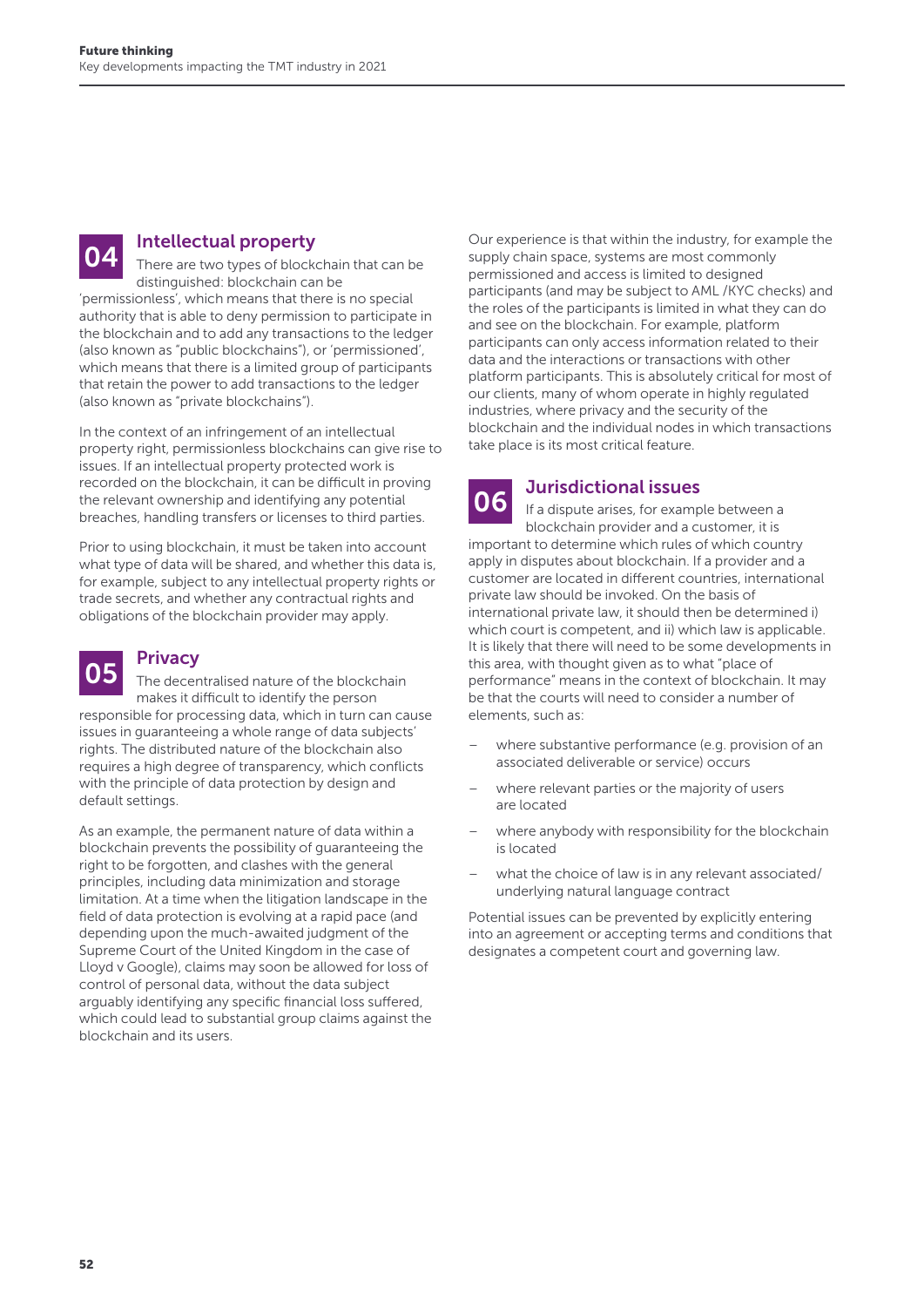**04** Intellectual property<br>
There are two types of blockchain that can be distinguished: blockchain can be

'permissionless', which means that there is no special authority that is able to deny permission to participate in the blockchain and to add any transactions to the ledger (also known as "public blockchains"), or 'permissioned', which means that there is a limited group of participants that retain the power to add transactions to the ledger (also known as "private blockchains").

In the context of an infringement of an intellectual property right, permissionless blockchains can give rise to issues. If an intellectual property protected work is recorded on the blockchain, it can be difficult in proving the relevant ownership and identifying any potential breaches, handling transfers or licenses to third parties.

Prior to using blockchain, it must be taken into account what type of data will be shared, and whether this data is, for example, subject to any intellectual property rights or trade secrets, and whether any contractual rights and obligations of the blockchain provider may apply.

#### **Privacy**

The decentralised nature of the blockchain makes it difficult to identify the person responsible for processing data, which in turn can cause issues in guaranteeing a whole range of data subjects' rights. The distributed nature of the blockchain also requires a high degree of transparency, which conflicts with the principle of data protection by design and default settings.

As an example, the permanent nature of data within a blockchain prevents the possibility of guaranteeing the right to be forgotten, and clashes with the general principles, including data minimization and storage limitation. At a time when the litigation landscape in the field of data protection is evolving at a rapid pace (and depending upon the much-awaited judgment of the Supreme Court of the United Kingdom in the case of Lloyd v Google), claims may soon be allowed for loss of control of personal data, without the data subject arguably identifying any specific financial loss suffered, which could lead to substantial group claims against the blockchain and its users.

Our experience is that within the industry, for example the supply chain space, systems are most commonly permissioned and access is limited to designed participants (and may be subject to AML /KYC checks) and the roles of the participants is limited in what they can do and see on the blockchain. For example, platform participants can only access information related to their data and the interactions or transactions with other platform participants. This is absolutely critical for most of our clients, many of whom operate in highly regulated industries, where privacy and the security of the blockchain and the individual nodes in which transactions take place is its most critical feature.

### **06** Jurisdictional issues

If a dispute arises, for example between a blockchain provider and a customer, it is important to determine which rules of which country apply in disputes about blockchain. If a provider and a customer are located in different countries, international private law should be invoked. On the basis of international private law, it should then be determined i) which court is competent, and ii) which law is applicable. It is likely that there will need to be some developments in this area, with thought given as to what "place of performance" means in the context of blockchain. It may be that the courts will need to consider a number of elements, such as:

- where substantive performance (e.g. provision of an associated deliverable or service) occurs
- where relevant parties or the majority of users are located
- where anybody with responsibility for the blockchain is located
- what the choice of law is in any relevant associated/ underlying natural language contract

Potential issues can be prevented by explicitly entering into an agreement or accepting terms and conditions that designates a competent court and governing law.